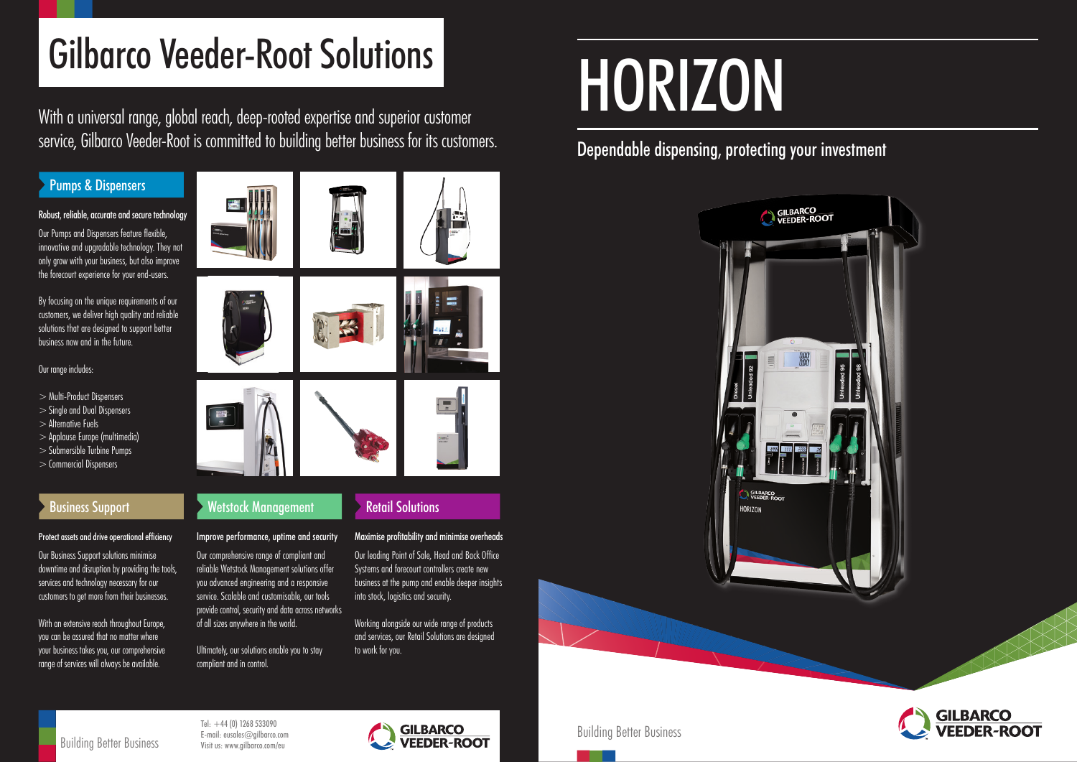Building Better Business



# HORIZON

## Dependable dispensing, protecting your investment



Tel:  $+44$  (0) 1268 533090 E-mail: eusales@gilbarco.com Visit us: www.gilbarco.com/eu



# Gilbarco Veeder-Root Solutions

## Protect assets and drive operational efficiency

With an extensive reach throughout Europe. you can be assured that no matter where your business takes you, our comprehensive range of services will always be available.

Our Business Support solutions minimise downtime and disruption by providing the tools, services and technology necessary for our customers to get more from their businesses.

## Improve performance, uptime and security

Our comprehensive range of compliant and reliable Wetstock Management solutions offer you advanced engineering and a responsive service. Scalable and customisable, our tools provide control, security and data across networks of all sizes anywhere in the world.

Ultimately, our solutions enable you to stay compliant and in control.

## Maximise profitability and minimise overheads

Our leading Point of Sale, Head and Back Office Systems and forecourt controllers create new business at the pump and enable deeper insights into stock, logistics and security.

Working alongside our wide range of products and services, our Retail Solutions are designed to work for you.

## Robust, reliable, accurate and secure technology

Our Pumps and Dispensers feature flexible, innovative and upgradable technology. They not only grow with your business, but also improve the forecourt experience for your end-users.

By focusing on the unique requirements of our customers, we deliver high quality and reliable solutions that are designed to support better business now and in the future.

## Our range includes:

- >Multi-Product Dispensers
- >Single and Dual Dispensers
- > Alternative Fuels
- >Applause Europe (multimedia)
- >Submersible Turbine Pumps
- >Commercial Dispensers

## Pumps & Dispensers



With a universal range, global reach, deep-rooted expertise and superior customer service, Gilbarco Veeder-Root is committed to building better business for its customers.